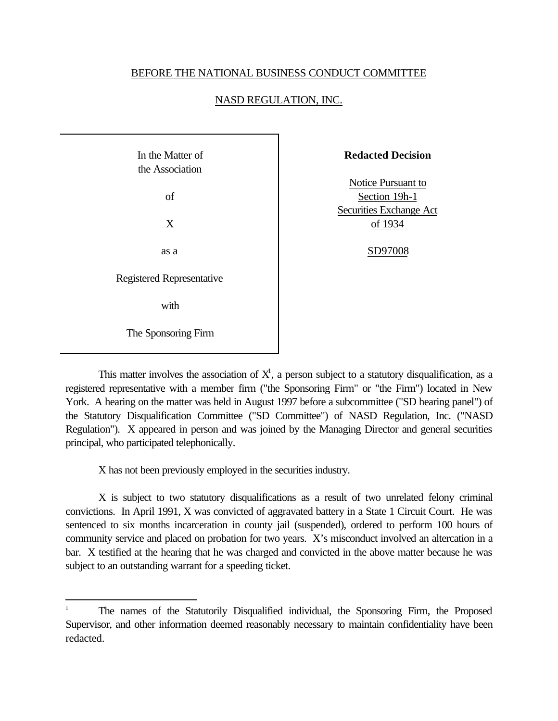## BEFORE THE NATIONAL BUSINESS CONDUCT COMMITTEE

## NASD REGULATION, INC.

| In the Matter of<br>the Association |  |
|-------------------------------------|--|
| of                                  |  |
| X                                   |  |
| as a                                |  |
| <b>Registered Representative</b>    |  |
| with                                |  |
| The Sponsoring Firm                 |  |

l

**Redacted Decision**

Notice Pursuant to Section 19h-1 Securities Exchange Act of 1934

## SD97008

This matter involves the association of  $X<sup>1</sup>$ , a person subject to a statutory disqualification, as a registered representative with a member firm ("the Sponsoring Firm" or "the Firm") located in New York. A hearing on the matter was held in August 1997 before a subcommittee ("SD hearing panel") of the Statutory Disqualification Committee ("SD Committee") of NASD Regulation, Inc. ("NASD Regulation"). X appeared in person and was joined by the Managing Director and general securities principal, who participated telephonically.

X has not been previously employed in the securities industry.

X is subject to two statutory disqualifications as a result of two unrelated felony criminal convictions. In April 1991, X was convicted of aggravated battery in a State 1 Circuit Court. He was sentenced to six months incarceration in county jail (suspended), ordered to perform 100 hours of community service and placed on probation for two years. X's misconduct involved an altercation in a bar. X testified at the hearing that he was charged and convicted in the above matter because he was subject to an outstanding warrant for a speeding ticket.

<sup>1</sup> The names of the Statutorily Disqualified individual, the Sponsoring Firm, the Proposed Supervisor, and other information deemed reasonably necessary to maintain confidentiality have been redacted.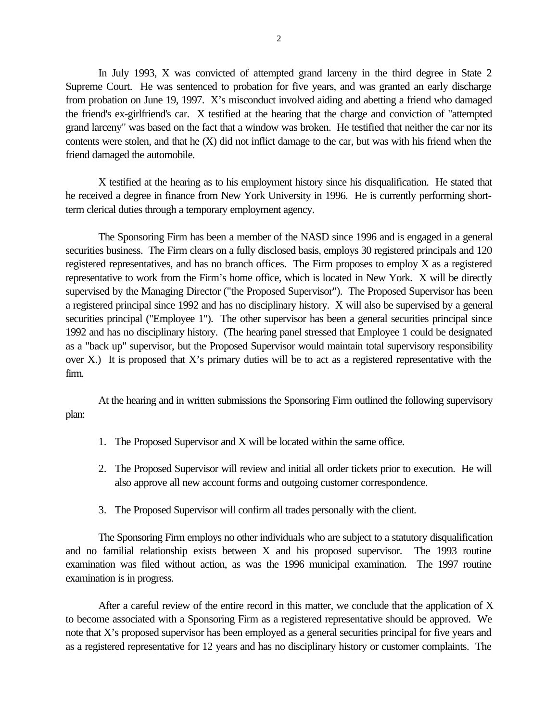In July 1993, X was convicted of attempted grand larceny in the third degree in State 2 Supreme Court. He was sentenced to probation for five years, and was granted an early discharge from probation on June 19, 1997. X's misconduct involved aiding and abetting a friend who damaged the friend's ex-girlfriend's car. X testified at the hearing that the charge and conviction of "attempted grand larceny" was based on the fact that a window was broken. He testified that neither the car nor its contents were stolen, and that he  $(X)$  did not inflict damage to the car, but was with his friend when the friend damaged the automobile.

X testified at the hearing as to his employment history since his disqualification. He stated that he received a degree in finance from New York University in 1996. He is currently performing shortterm clerical duties through a temporary employment agency.

The Sponsoring Firm has been a member of the NASD since 1996 and is engaged in a general securities business. The Firm clears on a fully disclosed basis, employs 30 registered principals and 120 registered representatives, and has no branch offices. The Firm proposes to employ X as a registered representative to work from the Firm's home office, which is located in New York. X will be directly supervised by the Managing Director ("the Proposed Supervisor"). The Proposed Supervisor has been a registered principal since 1992 and has no disciplinary history. X will also be supervised by a general securities principal ("Employee 1"). The other supervisor has been a general securities principal since 1992 and has no disciplinary history. (The hearing panel stressed that Employee 1 could be designated as a "back up" supervisor, but the Proposed Supervisor would maintain total supervisory responsibility over X.) It is proposed that X's primary duties will be to act as a registered representative with the firm.

At the hearing and in written submissions the Sponsoring Firm outlined the following supervisory plan:

- 1. The Proposed Supervisor and X will be located within the same office.
- 2. The Proposed Supervisor will review and initial all order tickets prior to execution. He will also approve all new account forms and outgoing customer correspondence.
- 3. The Proposed Supervisor will confirm all trades personally with the client.

The Sponsoring Firm employs no other individuals who are subject to a statutory disqualification and no familial relationship exists between X and his proposed supervisor. The 1993 routine examination was filed without action, as was the 1996 municipal examination. The 1997 routine examination is in progress.

After a careful review of the entire record in this matter, we conclude that the application of X to become associated with a Sponsoring Firm as a registered representative should be approved. We note that X's proposed supervisor has been employed as a general securities principal for five years and as a registered representative for 12 years and has no disciplinary history or customer complaints. The